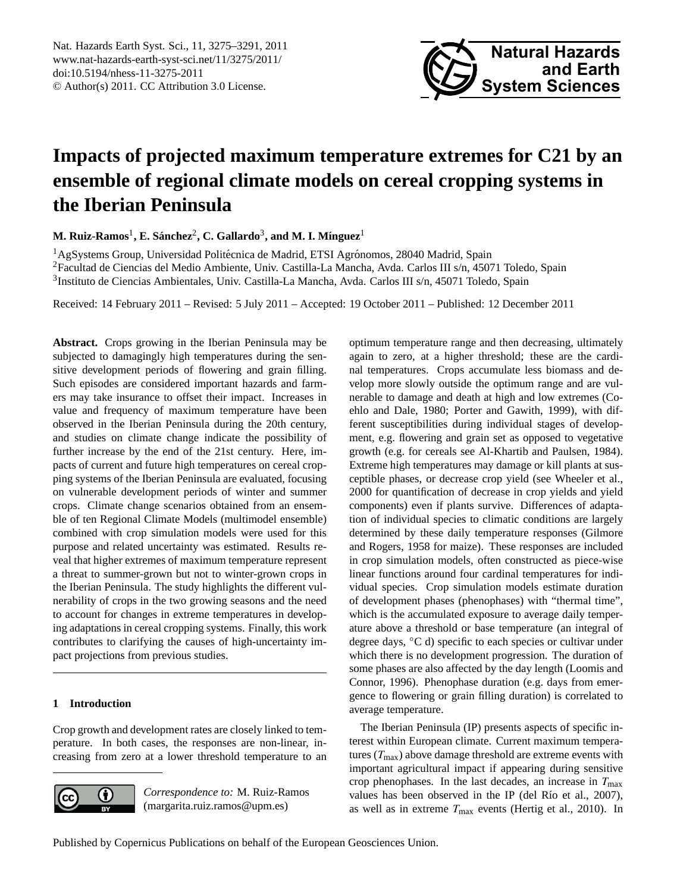<span id="page-0-0"></span>Nat. Hazards Earth Syst. Sci., 11, 3275–3291, 2011 www.nat-hazards-earth-syst-sci.net/11/3275/2011/ doi:10.5194/nhess-11-3275-2011 © Author(s) 2011. CC Attribution 3.0 License.



# **Impacts of projected maximum temperature extremes for C21 by an ensemble of regional climate models on cereal cropping systems in the Iberian Peninsula**

 $\mathbf{M}.$  Ruiz-Ramos $^1,$  E. Sánchez $^2,$  C. Gallardo $^3,$  and M. I. Mínguez $^1$ 

<sup>1</sup> AgSystems Group, Universidad Politécnica de Madrid, ETSI Agrónomos, 28040 Madrid, Spain <sup>2</sup>Facultad de Ciencias del Medio Ambiente, Univ. Castilla-La Mancha, Avda. Carlos III s/n, 45071 Toledo, Spain <sup>3</sup>Instituto de Ciencias Ambientales, Univ. Castilla-La Mancha, Avda. Carlos III s/n, 45071 Toledo, Spain

Received: 14 February 2011 – Revised: 5 July 2011 – Accepted: 19 October 2011 – Published: 12 December 2011

**Abstract.** Crops growing in the Iberian Peninsula may be subjected to damagingly high temperatures during the sensitive development periods of flowering and grain filling. Such episodes are considered important hazards and farmers may take insurance to offset their impact. Increases in value and frequency of maximum temperature have been observed in the Iberian Peninsula during the 20th century, and studies on climate change indicate the possibility of further increase by the end of the 21st century. Here, impacts of current and future high temperatures on cereal cropping systems of the Iberian Peninsula are evaluated, focusing on vulnerable development periods of winter and summer crops. Climate change scenarios obtained from an ensemble of ten Regional Climate Models (multimodel ensemble) combined with crop simulation models were used for this purpose and related uncertainty was estimated. Results reveal that higher extremes of maximum temperature represent a threat to summer-grown but not to winter-grown crops in the Iberian Peninsula. The study highlights the different vulnerability of crops in the two growing seasons and the need to account for changes in extreme temperatures in developing adaptations in cereal cropping systems. Finally, this work contributes to clarifying the causes of high-uncertainty impact projections from previous studies.

# **1 Introduction**

Crop growth and development rates are closely linked to temperature. In both cases, the responses are non-linear, increasing from zero at a lower threshold temperature to an



*Correspondence to:* M. Ruiz-Ramos (margarita.ruiz.ramos@upm.es)

optimum temperature range and then decreasing, ultimately again to zero, at a higher threshold; these are the cardinal temperatures. Crops accumulate less biomass and develop more slowly outside the optimum range and are vulnerable to damage and death at high and low extremes (Coehlo and Dale, 1980; Porter and Gawith, 1999), with different susceptibilities during individual stages of development, e.g. flowering and grain set as opposed to vegetative growth (e.g. for cereals see Al-Khartib and Paulsen, 1984). Extreme high temperatures may damage or kill plants at susceptible phases, or decrease crop yield (see Wheeler et al., 2000 for quantification of decrease in crop yields and yield components) even if plants survive. Differences of adaptation of individual species to climatic conditions are largely determined by these daily temperature responses (Gilmore and Rogers, 1958 for maize). These responses are included in crop simulation models, often constructed as piece-wise linear functions around four cardinal temperatures for individual species. Crop simulation models estimate duration of development phases (phenophases) with "thermal time", which is the accumulated exposure to average daily temperature above a threshold or base temperature (an integral of degree days, ◦C d) specific to each species or cultivar under which there is no development progression. The duration of some phases are also affected by the day length (Loomis and Connor, 1996). Phenophase duration (e.g. days from emergence to flowering or grain filling duration) is correlated to average temperature.

The Iberian Peninsula (IP) presents aspects of specific interest within European climate. Current maximum temperatures  $(T_{\text{max}})$  above damage threshold are extreme events with important agricultural impact if appearing during sensitive crop phenophases. In the last decades, an increase in  $T_{\text{max}}$ values has been observed in the IP (del Río et al., 2007), as well as in extreme  $T_{\text{max}}$  events (Hertig et al., 2010). In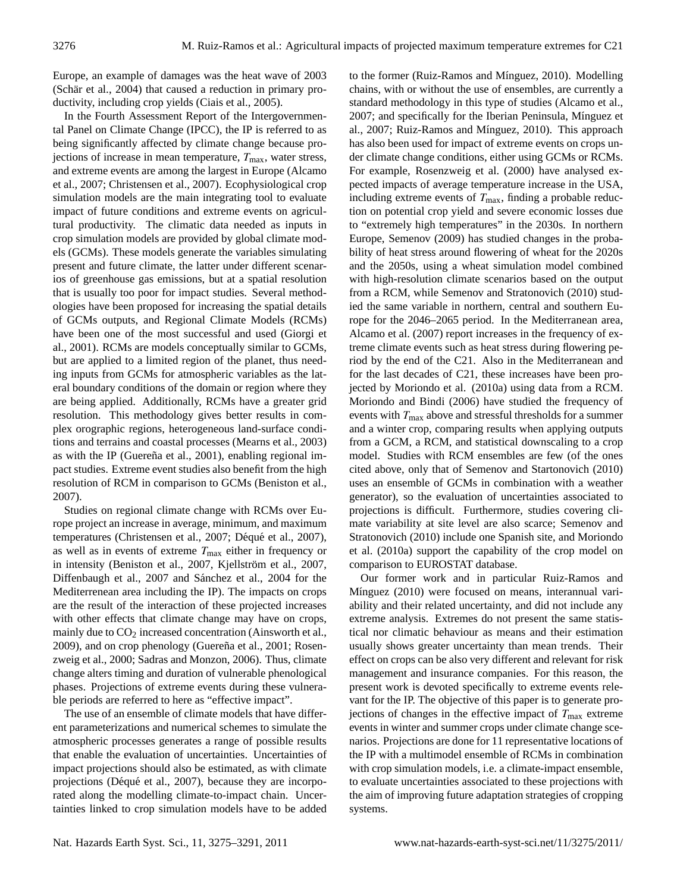Europe, an example of damages was the heat wave of 2003  $(Schär et al., 2004)$  that caused a reduction in primary productivity, including crop yields (Ciais et al., 2005).

In the Fourth Assessment Report of the Intergovernmental Panel on Climate Change (IPCC), the IP is referred to as being significantly affected by climate change because projections of increase in mean temperature,  $T_{\text{max}}$ , water stress, and extreme events are among the largest in Europe (Alcamo et al., 2007; Christensen et al., 2007). Ecophysiological crop simulation models are the main integrating tool to evaluate impact of future conditions and extreme events on agricultural productivity. The climatic data needed as inputs in crop simulation models are provided by global climate models (GCMs). These models generate the variables simulating present and future climate, the latter under different scenarios of greenhouse gas emissions, but at a spatial resolution that is usually too poor for impact studies. Several methodologies have been proposed for increasing the spatial details of GCMs outputs, and Regional Climate Models (RCMs) have been one of the most successful and used (Giorgi et al., 2001). RCMs are models conceptually similar to GCMs, but are applied to a limited region of the planet, thus needing inputs from GCMs for atmospheric variables as the lateral boundary conditions of the domain or region where they are being applied. Additionally, RCMs have a greater grid resolution. This methodology gives better results in complex orographic regions, heterogeneous land-surface conditions and terrains and coastal processes (Mearns et al., 2003) as with the IP (Guereña et al., 2001), enabling regional impact studies. Extreme event studies also benefit from the high resolution of RCM in comparison to GCMs (Beniston et al., 2007).

Studies on regional climate change with RCMs over Europe project an increase in average, minimum, and maximum temperatures (Christensen et al., 2007; Déqué et al., 2007), as well as in events of extreme  $T_{\text{max}}$  either in frequency or in intensity (Beniston et al., 2007, Kjellström et al., 2007, Diffenbaugh et al., 2007 and Sánchez et al., 2004 for the Mediterrenean area including the IP). The impacts on crops are the result of the interaction of these projected increases with other effects that climate change may have on crops, mainly due to  $CO<sub>2</sub>$  increased concentration (Ainsworth et al., 2009), and on crop phenology (Guereña et al., 2001; Rosenzweig et al., 2000; Sadras and Monzon, 2006). Thus, climate change alters timing and duration of vulnerable phenological phases. Projections of extreme events during these vulnerable periods are referred to here as "effective impact".

The use of an ensemble of climate models that have different parameterizations and numerical schemes to simulate the atmospheric processes generates a range of possible results that enable the evaluation of uncertainties. Uncertainties of impact projections should also be estimated, as with climate projections (Déqué et al., 2007), because they are incorporated along the modelling climate-to-impact chain. Uncertainties linked to crop simulation models have to be added to the former (Ruiz-Ramos and Mínguez, 2010). Modelling chains, with or without the use of ensembles, are currently a standard methodology in this type of studies (Alcamo et al., 2007; and specifically for the Iberian Peninsula, Mínguez et al., 2007; Ruiz-Ramos and Mínguez, 2010). This approach has also been used for impact of extreme events on crops under climate change conditions, either using GCMs or RCMs. For example, Rosenzweig et al. (2000) have analysed expected impacts of average temperature increase in the USA, including extreme events of  $T_{\text{max}}$ , finding a probable reduction on potential crop yield and severe economic losses due to "extremely high temperatures" in the 2030s. In northern Europe, Semenov (2009) has studied changes in the probability of heat stress around flowering of wheat for the 2020s and the 2050s, using a wheat simulation model combined with high-resolution climate scenarios based on the output from a RCM, while Semenov and Stratonovich (2010) studied the same variable in northern, central and southern Europe for the 2046–2065 period. In the Mediterranean area, Alcamo et al. (2007) report increases in the frequency of extreme climate events such as heat stress during flowering period by the end of the C21. Also in the Mediterranean and for the last decades of C21, these increases have been projected by Moriondo et al. (2010a) using data from a RCM. Moriondo and Bindi (2006) have studied the frequency of events with  $T_{\text{max}}$  above and stressful thresholds for a summer and a winter crop, comparing results when applying outputs from a GCM, a RCM, and statistical downscaling to a crop model. Studies with RCM ensembles are few (of the ones cited above, only that of Semenov and Startonovich (2010) uses an ensemble of GCMs in combination with a weather generator), so the evaluation of uncertainties associated to projections is difficult. Furthermore, studies covering climate variability at site level are also scarce; Semenov and Stratonovich (2010) include one Spanish site, and Moriondo et al. (2010a) support the capability of the crop model on comparison to EUROSTAT database.

Our former work and in particular Ruiz-Ramos and Mínguez (2010) were focused on means, interannual variability and their related uncertainty, and did not include any extreme analysis. Extremes do not present the same statistical nor climatic behaviour as means and their estimation usually shows greater uncertainty than mean trends. Their effect on crops can be also very different and relevant for risk management and insurance companies. For this reason, the present work is devoted specifically to extreme events relevant for the IP. The objective of this paper is to generate projections of changes in the effective impact of  $T_{\text{max}}$  extreme events in winter and summer crops under climate change scenarios. Projections are done for 11 representative locations of the IP with a multimodel ensemble of RCMs in combination with crop simulation models, i.e. a climate-impact ensemble, to evaluate uncertainties associated to these projections with the aim of improving future adaptation strategies of cropping systems.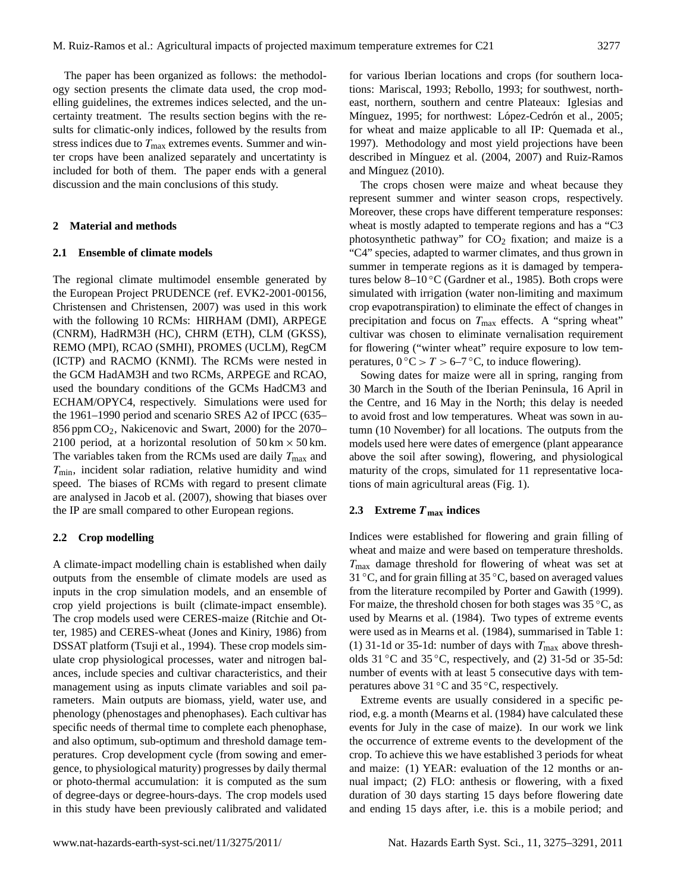The paper has been organized as follows: the methodology section presents the climate data used, the crop modelling guidelines, the extremes indices selected, and the uncertainty treatment. The results section begins with the results for climatic-only indices, followed by the results from stress indices due to  $T_{\text{max}}$  extremes events. Summer and winter crops have been analized separately and uncertatinty is included for both of them. The paper ends with a general discussion and the main conclusions of this study.

### **2 Material and methods**

## **2.1 Ensemble of climate models**

The regional climate multimodel ensemble generated by the European Project PRUDENCE (ref. EVK2-2001-00156, Christensen and Christensen, 2007) was used in this work with the following 10 RCMs: HIRHAM (DMI), ARPEGE (CNRM), HadRM3H (HC), CHRM (ETH), CLM (GKSS), REMO (MPI), RCAO (SMHI), PROMES (UCLM), RegCM (ICTP) and RACMO (KNMI). The RCMs were nested in the GCM HadAM3H and two RCMs, ARPEGE and RCAO, used the boundary conditions of the GCMs HadCM3 and ECHAM/OPYC4, respectively. Simulations were used for the 1961–1990 period and scenario SRES A2 of IPCC (635– 856 ppm CO2, Nakicenovic and Swart, 2000) for the 2070– 2100 period, at a horizontal resolution of  $50 \text{ km} \times 50 \text{ km}$ . The variables taken from the RCMs used are daily  $T_{\text{max}}$  and  $T_{\text{min}}$ , incident solar radiation, relative humidity and wind speed. The biases of RCMs with regard to present climate are analysed in Jacob et al. (2007), showing that biases over the IP are small compared to other European regions.

### **2.2 Crop modelling**

A climate-impact modelling chain is established when daily outputs from the ensemble of climate models are used as inputs in the crop simulation models, and an ensemble of crop yield projections is built (climate-impact ensemble). The crop models used were CERES-maize (Ritchie and Otter, 1985) and CERES-wheat (Jones and Kiniry, 1986) from DSSAT platform (Tsuji et al., 1994). These crop models simulate crop physiological processes, water and nitrogen balances, include species and cultivar characteristics, and their management using as inputs climate variables and soil parameters. Main outputs are biomass, yield, water use, and phenology (phenostages and phenophases). Each cultivar has specific needs of thermal time to complete each phenophase, and also optimum, sub-optimum and threshold damage temperatures. Crop development cycle (from sowing and emergence, to physiological maturity) progresses by daily thermal or photo-thermal accumulation: it is computed as the sum of degree-days or degree-hours-days. The crop models used in this study have been previously calibrated and validated for various Iberian locations and crops (for southern locations: Mariscal, 1993; Rebollo, 1993; for southwest, northeast, northern, southern and centre Plateaux: Iglesias and Mínguez, 1995; for northwest: López-Cedrón et al., 2005; for wheat and maize applicable to all IP: Quemada et al., 1997). Methodology and most yield projections have been described in Mínguez et al. (2004, 2007) and Ruiz-Ramos and Mínguez  $(2010)$ .

The crops chosen were maize and wheat because they represent summer and winter season crops, respectively. Moreover, these crops have different temperature responses: wheat is mostly adapted to temperate regions and has a "C3 photosynthetic pathway" for  $CO<sub>2</sub>$  fixation; and maize is a "C4" species, adapted to warmer climates, and thus grown in summer in temperate regions as it is damaged by temperatures below 8–10 ◦C (Gardner et al., 1985). Both crops were simulated with irrigation (water non-limiting and maximum crop evapotranspiration) to eliminate the effect of changes in precipitation and focus on  $T_{\text{max}}$  effects. A "spring wheat" cultivar was chosen to eliminate vernalisation requirement for flowering ("winter wheat" require exposure to low temperatures,  $0 °C > T > 6–7 °C$ , to induce flowering).

Sowing dates for maize were all in spring, ranging from 30 March in the South of the Iberian Peninsula, 16 April in the Centre, and 16 May in the North; this delay is needed to avoid frost and low temperatures. Wheat was sown in autumn (10 November) for all locations. The outputs from the models used here were dates of emergence (plant appearance above the soil after sowing), flowering, and physiological maturity of the crops, simulated for 11 representative locations of main agricultural areas (Fig. 1).

#### **2.3 Extreme** T **max indices**

Indices were established for flowering and grain filling of wheat and maize and were based on temperature thresholds.  $T_{\text{max}}$  damage threshold for flowering of wheat was set at 31 ◦C, and for grain filling at 35 ◦C, based on averaged values from the literature recompiled by Porter and Gawith (1999). For maize, the threshold chosen for both stages was 35 ◦C, as used by Mearns et al. (1984). Two types of extreme events were used as in Mearns et al. (1984), summarised in Table 1: (1) 31-1d or 35-1d: number of days with  $T_{\text{max}}$  above thresholds  $31^{\circ}$ C and  $35^{\circ}$ C, respectively, and (2) 31-5d or 35-5d: number of events with at least 5 consecutive days with temperatures above 31 ◦C and 35 ◦C, respectively.

Extreme events are usually considered in a specific period, e.g. a month (Mearns et al. (1984) have calculated these events for July in the case of maize). In our work we link the occurrence of extreme events to the development of the crop. To achieve this we have established 3 periods for wheat and maize: (1) YEAR: evaluation of the 12 months or annual impact; (2) FLO: anthesis or flowering, with a fixed duration of 30 days starting 15 days before flowering date and ending 15 days after, i.e. this is a mobile period; and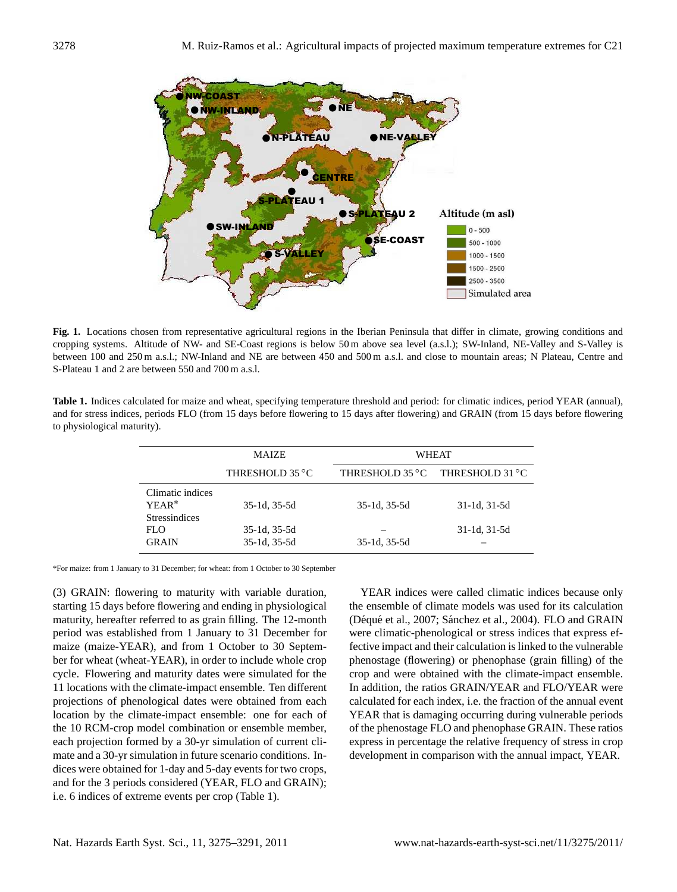

**Fig. 1.** Locations chosen from representative agricultural regions in the Iberian Peninsula that differ in climate, growing conditions and cropping systems. Altitude of NW- and SE-Coast regions is below 50 m above sea level (a.s.l.); SW-Inland, NE-Valley and S-Valley is between 100 and 250 m a.s.l.; NW-Inland and NE are between 450 and 500 m a.s.l. and close to mountain areas; N Plateau, Centre and S-Plateau 1 and 2 are between 550 and 700 m a.s.l.

**Table 1.** Indices calculated for maize and wheat, specifying temperature threshold and period: for climatic indices, period YEAR (annual), and for stress indices, periods FLO (from 15 days before flowering to 15 days after flowering) and GRAIN (from 15 days before flowering to physiological maturity).

|                                                     | <b>MAIZE</b>                 |              | <b>WHEAT</b>                    |
|-----------------------------------------------------|------------------------------|--------------|---------------------------------|
|                                                     | THRESHOLD 35 °C              |              | THRESHOLD 35 °C THRESHOLD 31 °C |
| Climatic indices<br>$YEAR*$<br><b>Stressindices</b> | 35-1d, 35-5d                 | 35-1d, 35-5d | $31-1d$ , $31-5d$               |
| <b>FLO</b><br><b>GRAIN</b>                          | 35-1d, 35-5d<br>35-1d, 35-5d | 35-1d, 35-5d | $31-1d$ , $31-5d$               |

\*For maize: from 1 January to 31 December; for wheat: from 1 October to 30 September

(3) GRAIN: flowering to maturity with variable duration, starting 15 days before flowering and ending in physiological maturity, hereafter referred to as grain filling. The 12-month period was established from 1 January to 31 December for maize (maize-YEAR), and from 1 October to 30 September for wheat (wheat-YEAR), in order to include whole crop cycle. Flowering and maturity dates were simulated for the 11 locations with the climate-impact ensemble. Ten different projections of phenological dates were obtained from each location by the climate-impact ensemble: one for each of the 10 RCM-crop model combination or ensemble member, each projection formed by a 30-yr simulation of current climate and a 30-yr simulation in future scenario conditions. Indices were obtained for 1-day and 5-day events for two crops, and for the 3 periods considered (YEAR, FLO and GRAIN); i.e. 6 indices of extreme events per crop (Table 1).

YEAR indices were called climatic indices because only the ensemble of climate models was used for its calculation (Déqué et al., 2007; Sánchez et al., 2004). FLO and GRAIN were climatic-phenological or stress indices that express effective impact and their calculation is linked to the vulnerable phenostage (flowering) or phenophase (grain filling) of the crop and were obtained with the climate-impact ensemble. In addition, the ratios GRAIN/YEAR and FLO/YEAR were calculated for each index, i.e. the fraction of the annual event YEAR that is damaging occurring during vulnerable periods of the phenostage FLO and phenophase GRAIN. These ratios express in percentage the relative frequency of stress in crop development in comparison with the annual impact, YEAR.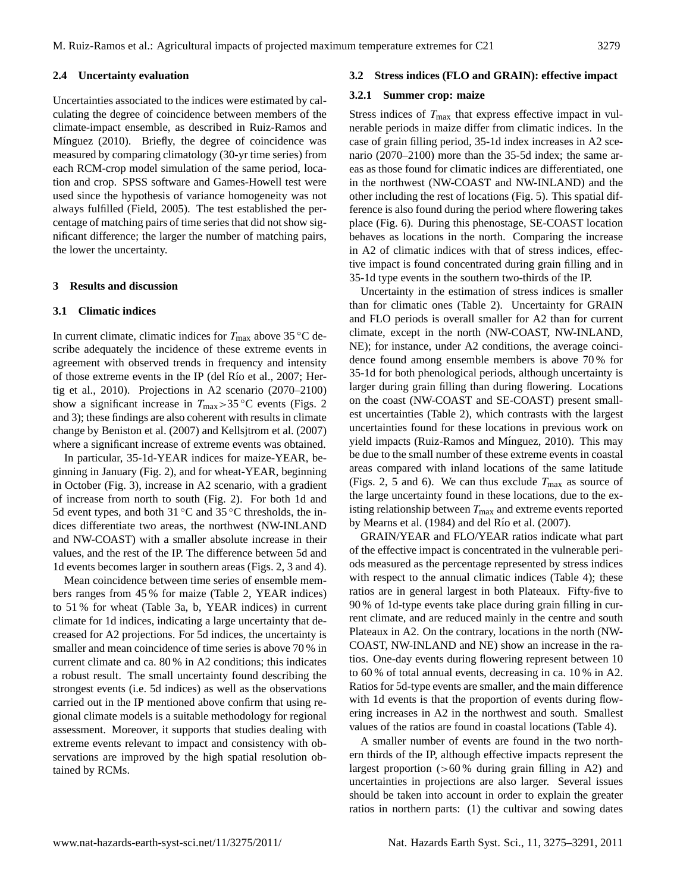#### **2.4 Uncertainty evaluation**

Uncertainties associated to the indices were estimated by calculating the degree of coincidence between members of the climate-impact ensemble, as described in Ruiz-Ramos and Mínguez (2010). Briefly, the degree of coincidence was measured by comparing climatology (30-yr time series) from each RCM-crop model simulation of the same period, location and crop. SPSS software and Games-Howell test were used since the hypothesis of variance homogeneity was not always fulfilled (Field, 2005). The test established the percentage of matching pairs of time series that did not show significant difference; the larger the number of matching pairs, the lower the uncertainty.

## **3 Results and discussion**

## **3.1 Climatic indices**

In current climate, climatic indices for  $T_{\text{max}}$  above 35 °C describe adequately the incidence of these extreme events in agreement with observed trends in frequency and intensity of those extreme events in the IP (del Río et al., 2007; Hertig et al., 2010). Projections in A2 scenario (2070–2100) show a significant increase in  $T_{\text{max}} > 35 \degree \text{C}$  events (Figs. 2) and 3); these findings are also coherent with results in climate change by Beniston et al. (2007) and Kellsjtrom et al. (2007) where a significant increase of extreme events was obtained.

In particular, 35-1d-YEAR indices for maize-YEAR, beginning in January (Fig. 2), and for wheat-YEAR, beginning in October (Fig. 3), increase in A2 scenario, with a gradient of increase from north to south (Fig. 2). For both 1d and 5d event types, and both  $31^{\circ}$ C and  $35^{\circ}$ C thresholds, the indices differentiate two areas, the northwest (NW-INLAND and NW-COAST) with a smaller absolute increase in their values, and the rest of the IP. The difference between 5d and 1d events becomes larger in southern areas (Figs. 2, 3 and 4).

Mean coincidence between time series of ensemble members ranges from 45 % for maize (Table 2, YEAR indices) to 51 % for wheat (Table 3a, b, YEAR indices) in current climate for 1d indices, indicating a large uncertainty that decreased for A2 projections. For 5d indices, the uncertainty is smaller and mean coincidence of time series is above 70 % in current climate and ca. 80 % in A2 conditions; this indicates a robust result. The small uncertainty found describing the strongest events (i.e. 5d indices) as well as the observations carried out in the IP mentioned above confirm that using regional climate models is a suitable methodology for regional assessment. Moreover, it supports that studies dealing with extreme events relevant to impact and consistency with observations are improved by the high spatial resolution obtained by RCMs.

#### **3.2 Stress indices (FLO and GRAIN): effective impact**

#### **3.2.1 Summer crop: maize**

Stress indices of  $T_{\text{max}}$  that express effective impact in vulnerable periods in maize differ from climatic indices. In the case of grain filling period, 35-1d index increases in A2 scenario (2070–2100) more than the 35-5d index; the same areas as those found for climatic indices are differentiated, one in the northwest (NW-COAST and NW-INLAND) and the other including the rest of locations (Fig. 5). This spatial difference is also found during the period where flowering takes place (Fig. 6). During this phenostage, SE-COAST location behaves as locations in the north. Comparing the increase in A2 of climatic indices with that of stress indices, effective impact is found concentrated during grain filling and in 35-1d type events in the southern two-thirds of the IP.

Uncertainty in the estimation of stress indices is smaller than for climatic ones (Table 2). Uncertainty for GRAIN and FLO periods is overall smaller for A2 than for current climate, except in the north (NW-COAST, NW-INLAND, NE); for instance, under A2 conditions, the average coincidence found among ensemble members is above 70 % for 35-1d for both phenological periods, although uncertainty is larger during grain filling than during flowering. Locations on the coast (NW-COAST and SE-COAST) present smallest uncertainties (Table 2), which contrasts with the largest uncertainties found for these locations in previous work on yield impacts (Ruiz-Ramos and Mínguez, 2010). This may be due to the small number of these extreme events in coastal areas compared with inland locations of the same latitude (Figs. 2, 5 and 6). We can thus exclude  $T_{\text{max}}$  as source of the large uncertainty found in these locations, due to the existing relationship between  $T_{\text{max}}$  and extreme events reported by Mearns et al.  $(1984)$  and del Río et al.  $(2007)$ .

GRAIN/YEAR and FLO/YEAR ratios indicate what part of the effective impact is concentrated in the vulnerable periods measured as the percentage represented by stress indices with respect to the annual climatic indices (Table 4); these ratios are in general largest in both Plateaux. Fifty-five to 90 % of 1d-type events take place during grain filling in current climate, and are reduced mainly in the centre and south Plateaux in A2. On the contrary, locations in the north (NW-COAST, NW-INLAND and NE) show an increase in the ratios. One-day events during flowering represent between 10 to 60 % of total annual events, decreasing in ca. 10 % in A2. Ratios for 5d-type events are smaller, and the main difference with 1d events is that the proportion of events during flowering increases in A2 in the northwest and south. Smallest values of the ratios are found in coastal locations (Table 4).

A smaller number of events are found in the two northern thirds of the IP, although effective impacts represent the largest proportion (>60 % during grain filling in A2) and uncertainties in projections are also larger. Several issues should be taken into account in order to explain the greater ratios in northern parts: (1) the cultivar and sowing dates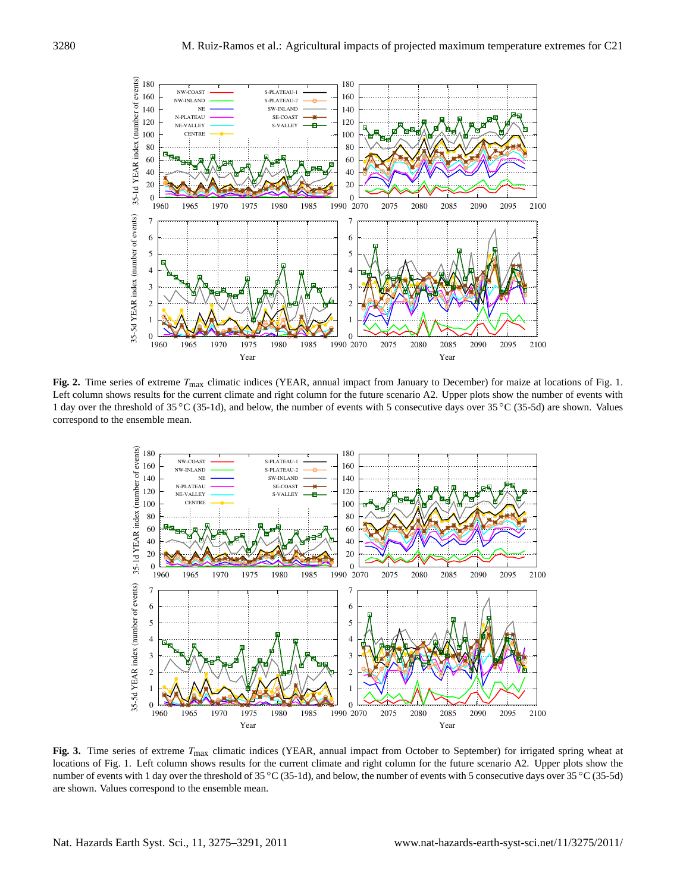

**Fig. 2.** Time series of extreme  $T_{\text{max}}$  climatic indices (YEAR, annual impact from January to December) for maize at locations of Fig. 1. Left column shows results for the current climate and right column for the future scenario A2. Upper plots show the number of events with 1 day over the threshold of 35 ◦C (35-1d), and below, the number of events with 5 consecutive days over 35 ◦C (35-5d) are shown. Values correspond to the ensemble mean.



**Fig. 3.** Time series of extreme Tmax climatic indices (YEAR, annual impact from October to September) for irrigated spring wheat at locations of Fig. 1. Left column shows results for the current climate and right column for the future scenario A2. Upper plots show the number of events with 1 day over the threshold of 35 °C (35-1d), and below, the number of events with 5 consecutive days over 35 °C (35-5d) are shown. Values correspond to the ensemble mean.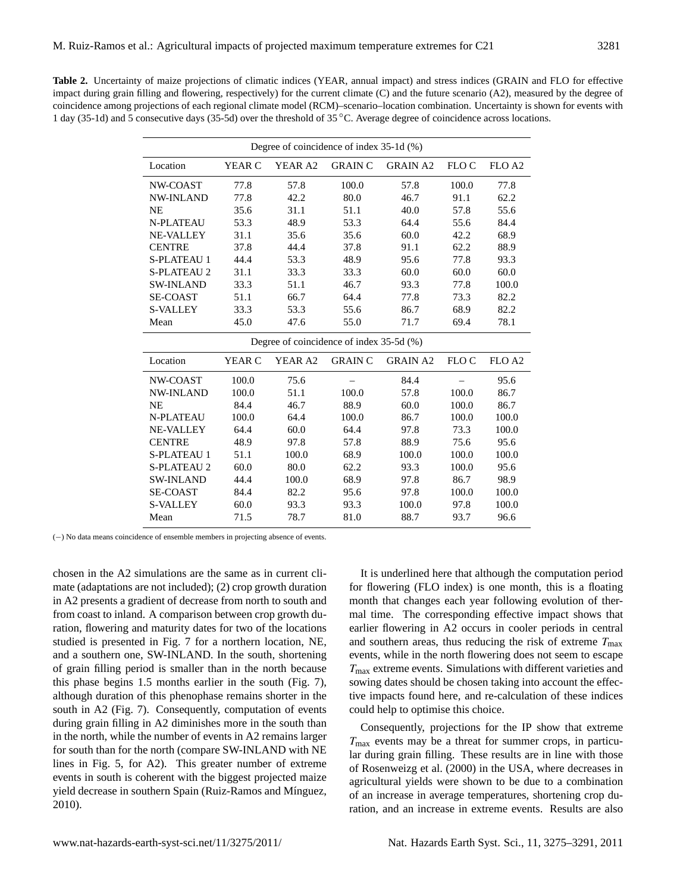| <b>Table 2.</b> Uncertainty of maize projections of climatic indices (YEAR, annual impact) and stress indices (GRAIN and FLO for effective   |
|----------------------------------------------------------------------------------------------------------------------------------------------|
| impact during grain filling and flowering, respectively) for the current climate (C) and the future scenario (A2), measured by the degree of |
| coincidence among projections of each regional climate model (RCM)–scenario–location combination. Uncertainty is shown for events with       |
| 1 day (35-1d) and 5 consecutive days (35-5d) over the threshold of 35 °C. Average degree of coincidence across locations.                    |

|                    |        | Degree of coincidence of index 35-1d (%) |                |                 |       |                    |
|--------------------|--------|------------------------------------------|----------------|-----------------|-------|--------------------|
| Location           | YEAR C | YEAR A <sub>2</sub>                      | <b>GRAIN C</b> | <b>GRAIN A2</b> | FLO C | FLO A <sub>2</sub> |
| NW-COAST           | 77.8   | 57.8                                     | 100.0          | 57.8            | 100.0 | 77.8               |
| <b>NW-INLAND</b>   | 77.8   | 42.2                                     | 80.0           | 46.7            | 91.1  | 62.2               |
| <b>NE</b>          | 35.6   | 31.1                                     | 51.1           | 40.0            | 57.8  | 55.6               |
| <b>N-PLATEAU</b>   | 53.3   | 48.9                                     | 53.3           | 64.4            | 55.6  | 84.4               |
| <b>NE-VALLEY</b>   | 31.1   | 35.6                                     | 35.6           | 60.0            | 42.2  | 68.9               |
| <b>CENTRE</b>      | 37.8   | 44.4                                     | 37.8           | 91.1            | 62.2  | 88.9               |
| <b>S-PLATEAU 1</b> | 44.4   | 53.3                                     | 48.9           | 95.6            | 77.8  | 93.3               |
| <b>S-PLATEAU 2</b> | 31.1   | 33.3                                     | 33.3           | 60.0            | 60.0  | 60.0               |
| <b>SW-INLAND</b>   | 33.3   | 51.1                                     | 46.7           | 93.3            | 77.8  | 100.0              |
| <b>SE-COAST</b>    | 51.1   | 66.7                                     | 64.4           | 77.8            | 73.3  | 82.2               |
| <b>S-VALLEY</b>    | 33.3   | 53.3                                     | 55.6           | 86.7            | 68.9  | 82.2               |
| Mean               | 45.0   | 47.6                                     | 55.0           | 71.7            | 69.4  | 78.1               |
|                    |        | Degree of coincidence of index 35-5d (%) |                |                 |       |                    |
| Location           | YEAR C | YEAR A <sub>2</sub>                      | <b>GRAIN C</b> | <b>GRAIN A2</b> | FLO C | FLO A <sub>2</sub> |
| NW-COAST           | 100.0  | 75.6                                     |                | 84.4            |       | 95.6               |
| <b>NW-INLAND</b>   | 100.0  | 51.1                                     | 100.0          | 57.8            | 100.0 | 86.7               |
| <b>NE</b>          | 84.4   | 46.7                                     | 88.9           | 60.0            | 100.0 | 86.7               |
| <b>N-PLATEAU</b>   | 100.0  | 64.4                                     | 100.0          | 86.7            | 100.0 | 100.0              |
| <b>NE-VALLEY</b>   | 64.4   | 60.0                                     | 64.4           | 97.8            | 73.3  | 100.0              |
| <b>CENTRE</b>      | 48.9   | 97.8                                     | 57.8           | 88.9            | 75.6  | 95.6               |
| <b>S-PLATEAU 1</b> | 51.1   | 100.0                                    | 68.9           | 100.0           | 100.0 | 100.0              |
| <b>S-PLATEAU 2</b> | 60.0   | 80.0                                     | 62.2           | 93.3            | 100.0 | 95.6               |
| <b>SW-INLAND</b>   | 44.4   | 100.0                                    | 68.9           | 97.8            | 86.7  | 98.9               |
| <b>SE-COAST</b>    | 84.4   | 82.2                                     | 95.6           | 97.8            | 100.0 | 100.0              |
| <b>S-VALLEY</b>    | 60.0   | 93.3                                     | 93.3           | 100.0           | 97.8  | 100.0              |
| Mean               | 71.5   | 78.7                                     | 81.0           | 88.7            | 93.7  | 96.6               |

(−) No data means coincidence of ensemble members in projecting absence of events.

chosen in the A2 simulations are the same as in current climate (adaptations are not included); (2) crop growth duration in A2 presents a gradient of decrease from north to south and from coast to inland. A comparison between crop growth duration, flowering and maturity dates for two of the locations studied is presented in Fig. 7 for a northern location, NE, and a southern one, SW-INLAND. In the south, shortening of grain filling period is smaller than in the north because this phase begins 1.5 months earlier in the south (Fig. 7), although duration of this phenophase remains shorter in the south in A2 (Fig. 7). Consequently, computation of events during grain filling in A2 diminishes more in the south than in the north, while the number of events in A2 remains larger for south than for the north (compare SW-INLAND with NE lines in Fig. 5, for A2). This greater number of extreme events in south is coherent with the biggest projected maize yield decrease in southern Spain (Ruiz-Ramos and Mínguez, 2010).

It is underlined here that although the computation period for flowering (FLO index) is one month, this is a floating month that changes each year following evolution of thermal time. The corresponding effective impact shows that earlier flowering in A2 occurs in cooler periods in central and southern areas, thus reducing the risk of extreme  $T_{\text{max}}$ events, while in the north flowering does not seem to escape  $T_{\text{max}}$  extreme events. Simulations with different varieties and sowing dates should be chosen taking into account the effective impacts found here, and re-calculation of these indices could help to optimise this choice.

Consequently, projections for the IP show that extreme  $T_{\text{max}}$  events may be a threat for summer crops, in particular during grain filling. These results are in line with those of Rosenweizg et al. (2000) in the USA, where decreases in agricultural yields were shown to be due to a combination of an increase in average temperatures, shortening crop duration, and an increase in extreme events. Results are also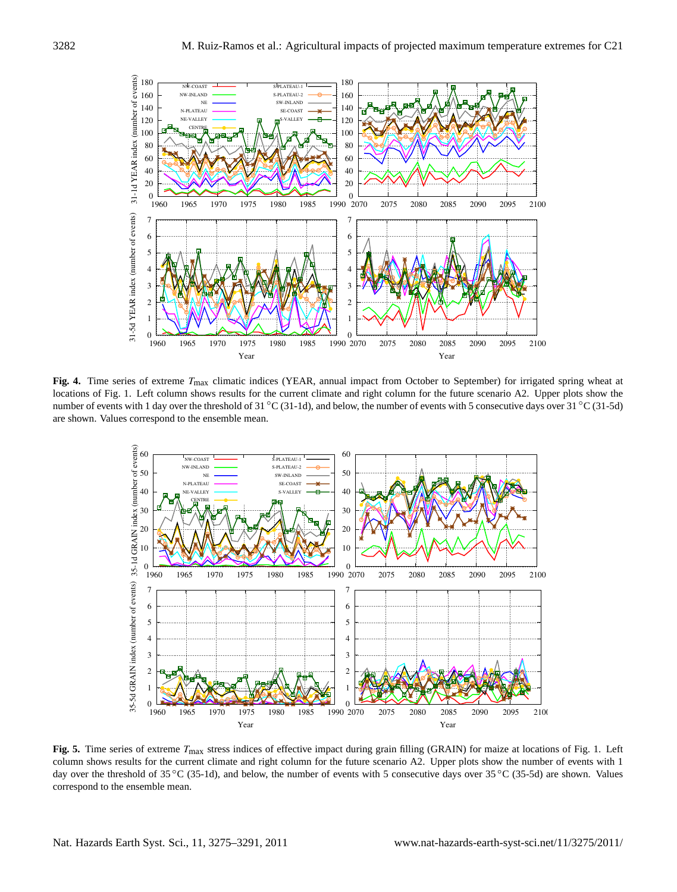

Fig. 4. Time series of extreme T<sub>max</sub> climatic indices (YEAR, annual impact from October to September) for irrigated spring wheat at locations of Fig. 1. Left column shows results for the current climate and right column for the future scenario A2. Upper plots show the number of events with 1 day over the threshold of 31 °C (31-1d), and below, the number of events with 5 consecutive days over 31 °C (31-5d) are shown. Values correspond to the ensemble mean.



**Fig. 5.** Time series of extreme Tmax stress indices of effective impact during grain filling (GRAIN) for maize at locations of Fig. 1. Left column shows results for the current climate and right column for the future scenario A2. Upper plots show the number of events with 1 day over the threshold of 35 °C (35-1d), and below, the number of events with 5 consecutive days over 35 °C (35-5d) are shown. Values correspond to the ensemble mean.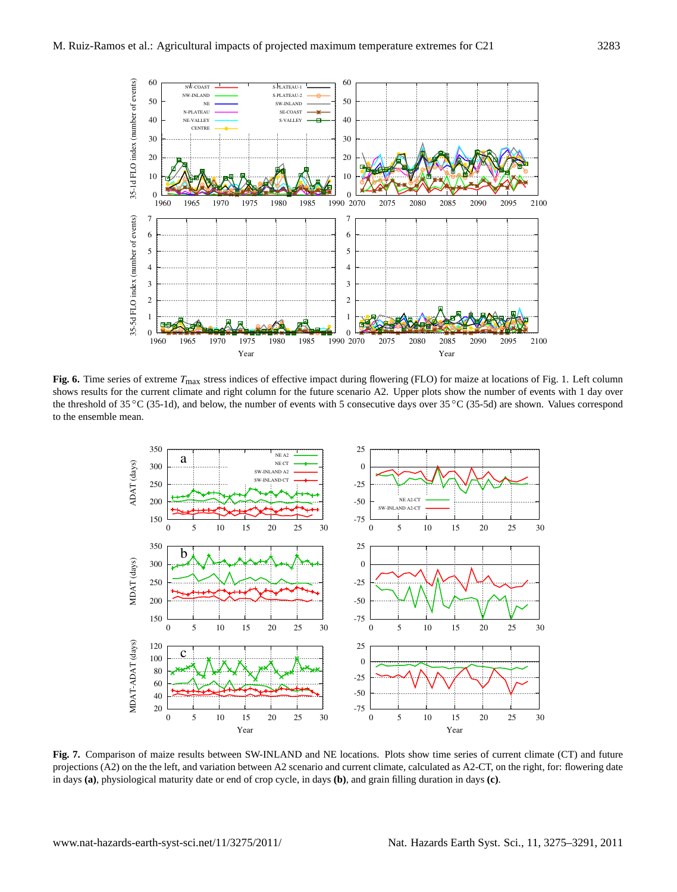

**Fig. 6.** Time series of extreme  $T_{\text{max}}$  stress indices of effective impact during flowering (FLO) for maize at locations of Fig. 1. Left column shows results for the current climate and right column for the future scenario A2. Upper plots show the number of events with 1 day over the threshold of 35 °C (35-1d), and below, the number of events with 5 consecutive days over 35 °C (35-5d) are shown. Values correspond to the ensemble mean.



**Fig. 7.** Comparison of maize results between SW-INLAND and NE locations. Plots show time series of current climate (CT) and future projections (A2) on the the left, and variation between A2 scenario and current climate, calculated as A2-CT, on the right, for: flowering date in days **(a)**, physiological maturity date or end of crop cycle, in days **(b)**, and grain filling duration in days **(c)**.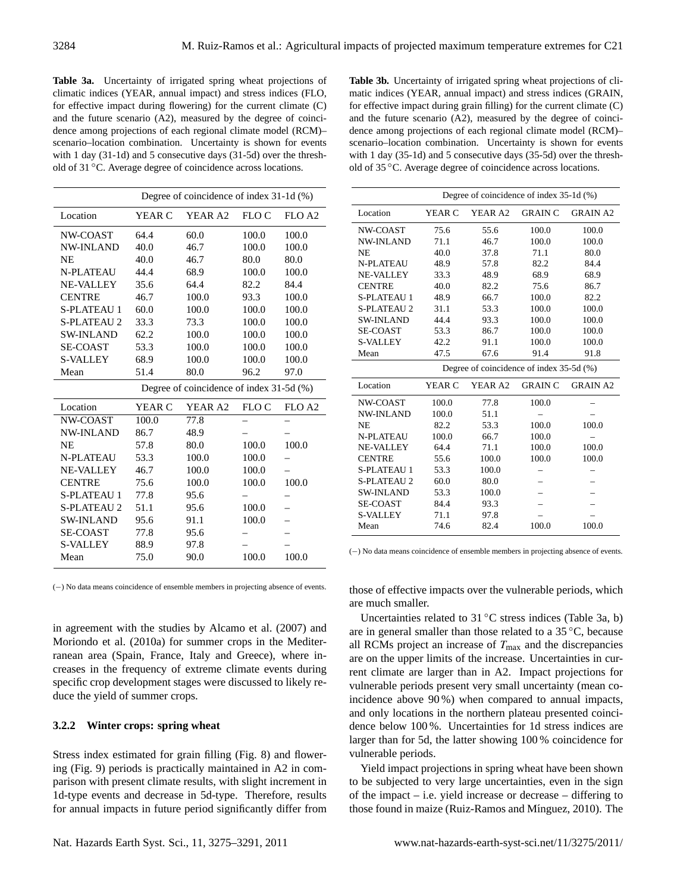**Table 3a.** Uncertainty of irrigated spring wheat projections of climatic indices (YEAR, annual impact) and stress indices (FLO, for effective impact during flowering) for the current climate (C) and the future scenario (A2), measured by the degree of coincidence among projections of each regional climate model (RCM)– scenario–location combination. Uncertainty is shown for events with 1 day (31-1d) and 5 consecutive days (31-5d) over the threshold of 31 ◦C. Average degree of coincidence across locations.

|                    |        | Degree of coincidence of index 31-1d (%) |       |                    |
|--------------------|--------|------------------------------------------|-------|--------------------|
| Location           | YEAR C | YEAR A <sub>2</sub>                      | FLO C | FLO A <sub>2</sub> |
| NW-COAST           | 64.4   | 60.0                                     | 100.0 | 100.0              |
| <b>NW-INLAND</b>   | 40.0   | 46.7                                     | 100.0 | 100.0              |
| NE                 | 40.0   | 46.7                                     | 80.0  | 80.0               |
| <b>N-PLATEAU</b>   | 44.4   | 68.9                                     | 100.0 | 100.0              |
| <b>NE-VALLEY</b>   | 35.6   | 64.4                                     | 82.2  | 84.4               |
| <b>CENTRE</b>      | 46.7   | 100.0                                    | 93.3  | 100.0              |
| <b>S-PLATEAU 1</b> | 60.0   | 100.0                                    | 100.0 | 100.0              |
| <b>S-PLATEAU 2</b> | 33.3   | 73.3                                     | 100.0 | 100.0              |
| <b>SW-INLAND</b>   | 62.2   | 100.0                                    | 100.0 | 100.0              |
| <b>SE-COAST</b>    | 53.3   | 100.0                                    | 100.0 | 100.0              |
| <b>S-VALLEY</b>    | 68.9   | 100.0                                    | 100.0 | 100.0              |
| Mean               | 51.4   | 80.0                                     | 96.2  | 97.0               |
|                    |        | Degree of coincidence of index 31-5d (%) |       |                    |
| Location           | YEAR C | YEAR A <sub>2</sub>                      | FLO C | FLO A <sub>2</sub> |
|                    |        |                                          |       |                    |
| NW-COAST           | 100.0  | 77.8                                     |       |                    |
| <b>NW-INLAND</b>   | 86.7   | 48.9                                     |       |                    |
| NE                 | 57.8   | 80.0                                     | 100.0 | 100.0              |
| <b>N-PLATEAU</b>   | 53.3   | 100.0                                    | 100.0 |                    |
| <b>NE-VALLEY</b>   | 46.7   | 100.0                                    | 100.0 |                    |
| <b>CENTRE</b>      | 75.6   | 100.0                                    | 100.0 | 100.0              |
| <b>S-PLATEAU 1</b> | 77.8   | 95.6                                     |       |                    |
| <b>S-PLATEAU 2</b> | 51.1   | 95.6                                     | 100.0 |                    |
| <b>SW-INLAND</b>   | 95.6   | 91.1                                     | 100.0 |                    |
| <b>SE-COAST</b>    | 77.8   | 95.6                                     |       |                    |
| <b>S-VALLEY</b>    | 88.9   | 97.8                                     |       |                    |

**Table 3b.** Uncertainty of irrigated spring wheat projections of climatic indices (YEAR, annual impact) and stress indices (GRAIN, for effective impact during grain filling) for the current climate (C) and the future scenario (A2), measured by the degree of coincidence among projections of each regional climate model (RCM)– scenario–location combination. Uncertainty is shown for events with 1 day (35-1d) and 5 consecutive days (35-5d) over the threshold of 35 ◦C. Average degree of coincidence across locations.

Location YEAR C YEAR A2 GRAIN C GRAIN A2 NW-COAST 75.6 55.6 100.0 100.0 NW-INLAND 71.1 46.7 100.0 100.0 NE 40.0 37.8 71.1 80.0 N-PLATEAU 48.9 57.8 82.2 84.4 NE-VALLEY 33.3 48.9 68.9 68.9 CENTRE 40.0 82.2 75.6 86.7<br>S-PLATEAU 1 48.9 66.7 100.0 82.2 S-PLATEAU 1 48.9 66.7 100.0 82.2<br>S-PLATEAU 2 31.1 53.3 100.0 100.0

SW-INLAND 44.4 93.3 100.0 100.0<br>SE-COAST 53.3 86.7 100.0 100.0 SE-COAST 53.3 86.7 100.0 100.0<br>S-VALLEY 42.2 91.1 100.0 100.0

Mean 47.5 67.6 91.4 91.8

Location YEAR C YEAR A2 GRAIN C GRAIN A2 NW-COAST 100.0 77.8 100.0 –

NE 82.2 53.3 100.0 100.0 N-PLATEAU 100.0 66.7 100.0 –<br>NE-VALLEY 64.4 71.1 100.0 100.0 NE-VALLEY 64.4 71.1 100.0 100.0<br>CENTRE 55.6 100.0 100.0 100.0 CENTRE 55.6 100.0 100.0 100.0

S-PLATEAU 2 31.1 53.3 100.0

NW-INLAND 100.0 51.1

S-PLATEAU 1 53.3 100.0 S-PLATEAU 2 60.0 80.0 – –

S-VALLEY

Degree of coincidence of index 35-1d (%)

Degree of coincidence of index 35-5d (%)

|                 |      | 100.0 |       |       |
|-----------------|------|-------|-------|-------|
| <b>SE-COAST</b> | 84.4 | 93.3  |       |       |
| <b>S-VALLEY</b> | 71.1 | 97.8  |       |       |
| Mean            | 74.6 | 82.4  | 100.0 | 100.0 |

(−) No data means coincidence of ensemble members in projecting absence of events.

in agreement with the studies by Alcamo et al. (2007) and Moriondo et al. (2010a) for summer crops in the Mediterranean area (Spain, France, Italy and Greece), where increases in the frequency of extreme climate events during specific crop development stages were discussed to likely reduce the yield of summer crops.

#### **3.2.2 Winter crops: spring wheat**

Stress index estimated for grain filling (Fig. 8) and flowering (Fig. 9) periods is practically maintained in A2 in comparison with present climate results, with slight increment in 1d-type events and decrease in 5d-type. Therefore, results for annual impacts in future period significantly differ from those of effective impacts over the vulnerable periods, which are much smaller.

Uncertainties related to  $31^{\circ}$ C stress indices (Table 3a, b) are in general smaller than those related to a  $35^{\circ}$ C, because all RCMs project an increase of  $T_{\text{max}}$  and the discrepancies are on the upper limits of the increase. Uncertainties in current climate are larger than in A2. Impact projections for vulnerable periods present very small uncertainty (mean coincidence above 90 %) when compared to annual impacts, and only locations in the northern plateau presented coincidence below 100 %. Uncertainties for 1d stress indices are larger than for 5d, the latter showing 100 % coincidence for vulnerable periods.

Yield impact projections in spring wheat have been shown to be subjected to very large uncertainties, even in the sign of the impact – i.e. yield increase or decrease – differing to those found in maize (Ruiz-Ramos and Mínguez, 2010). The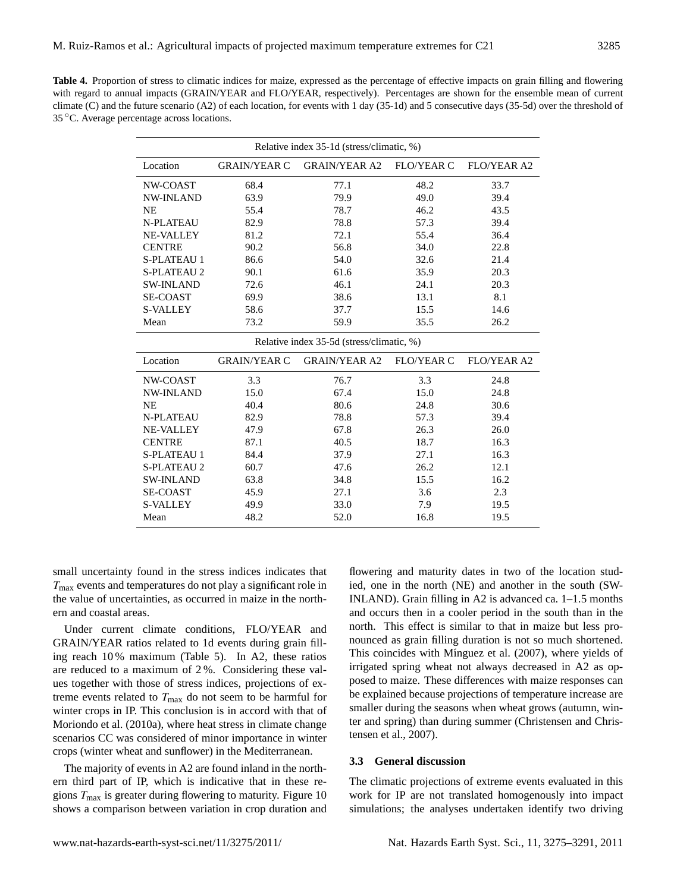| <b>Table 4.</b> Proportion of stress to climatic indices for maize, expressed as the percentage of effective impacts on grain filling and flowering |
|-----------------------------------------------------------------------------------------------------------------------------------------------------|
| with regard to annual impacts (GRAIN/YEAR and FLO/YEAR, respectively). Percentages are shown for the ensemble mean of current                       |
| climate (C) and the future scenario (A2) of each location, for events with 1 day (35-1d) and 5 consecutive days (35-5d) over the threshold of       |
| 35 °C. Average percentage across locations.                                                                                                         |

|                    |                     | Relative index 35-1d (stress/climatic, %) |                   |             |
|--------------------|---------------------|-------------------------------------------|-------------------|-------------|
| Location           | <b>GRAIN/YEAR C</b> | <b>GRAIN/YEAR A2</b>                      | <b>FLO/YEAR C</b> | FLO/YEAR A2 |
| NW-COAST           | 68.4                | 77.1                                      | 48.2              | 33.7        |
| <b>NW-INLAND</b>   | 63.9                | 79.9                                      | 49.0              | 39.4        |
| <b>NE</b>          | 55.4                | 78.7                                      | 46.2              | 43.5        |
| <b>N-PLATEAU</b>   | 82.9                | 78.8                                      | 57.3              | 39.4        |
| <b>NE-VALLEY</b>   | 81.2                | 72.1                                      | 55.4              | 36.4        |
| <b>CENTRE</b>      | 90.2                | 56.8                                      | 34.0              | 22.8        |
| <b>S-PLATEAU 1</b> | 86.6                | 54.0                                      | 32.6              | 21.4        |
| <b>S-PLATEAU 2</b> | 90.1                | 61.6                                      | 35.9              | 20.3        |
| <b>SW-INLAND</b>   | 72.6                | 46.1                                      | 24.1              | 20.3        |
| <b>SE-COAST</b>    | 69.9                | 38.6                                      | 13.1              | 8.1         |
| <b>S-VALLEY</b>    | 58.6                | 37.7                                      | 15.5              | 14.6        |
| Mean               | 73.2                | 59.9                                      | 35.5              | 26.2        |
|                    |                     | Relative index 35-5d (stress/climatic, %) |                   |             |
|                    |                     |                                           |                   |             |
| Location           | <b>GRAIN/YEAR C</b> | <b>GRAIN/YEAR A2</b>                      | <b>FLO/YEAR C</b> | FLO/YEAR A2 |
| NW-COAST           | 3.3                 | 76.7                                      | 3.3               | 24.8        |
| <b>NW-INLAND</b>   | 15.0                | 67.4                                      | 15.0              | 24.8        |
| <b>NE</b>          | 40.4                | 80.6                                      | 24.8              | 30.6        |
| <b>N-PLATEAU</b>   | 82.9                | 78.8                                      | 57.3              | 39.4        |
| <b>NE-VALLEY</b>   | 47.9                | 67.8                                      | 26.3              | 26.0        |
| <b>CENTRE</b>      | 87.1                | 40.5                                      | 18.7              | 16.3        |
| <b>S-PLATEAU 1</b> | 84.4                | 37.9                                      | 27.1              | 16.3        |
| <b>S-PLATEAU 2</b> | 60.7                | 47.6                                      | 26.2              | 12.1        |
| <b>SW-INLAND</b>   | 63.8                | 34.8                                      | 15.5              | 16.2        |
| <b>SE-COAST</b>    | 45.9                | 27.1                                      | 3.6               | 2.3         |
| <b>S-VALLEY</b>    | 49.9                | 33.0                                      | 7.9               | 19.5        |

small uncertainty found in the stress indices indicates that  $T_{\text{max}}$  events and temperatures do not play a significant role in the value of uncertainties, as occurred in maize in the northern and coastal areas.

Under current climate conditions, FLO/YEAR and GRAIN/YEAR ratios related to 1d events during grain filling reach 10 % maximum (Table 5). In A2, these ratios are reduced to a maximum of 2 %. Considering these values together with those of stress indices, projections of extreme events related to  $T_{\text{max}}$  do not seem to be harmful for winter crops in IP. This conclusion is in accord with that of Moriondo et al. (2010a), where heat stress in climate change scenarios CC was considered of minor importance in winter crops (winter wheat and sunflower) in the Mediterranean.

The majority of events in A2 are found inland in the northern third part of IP, which is indicative that in these regions  $T_{\text{max}}$  is greater during flowering to maturity. Figure 10 shows a comparison between variation in crop duration and

flowering and maturity dates in two of the location studied, one in the north (NE) and another in the south (SW-INLAND). Grain filling in A2 is advanced ca. 1–1.5 months and occurs then in a cooler period in the south than in the north. This effect is similar to that in maize but less pronounced as grain filling duration is not so much shortened. This coincides with Mínguez et al. (2007), where yields of irrigated spring wheat not always decreased in A2 as opposed to maize. These differences with maize responses can be explained because projections of temperature increase are smaller during the seasons when wheat grows (autumn, winter and spring) than during summer (Christensen and Christensen et al., 2007).

# **3.3 General discussion**

The climatic projections of extreme events evaluated in this work for IP are not translated homogenously into impact simulations; the analyses undertaken identify two driving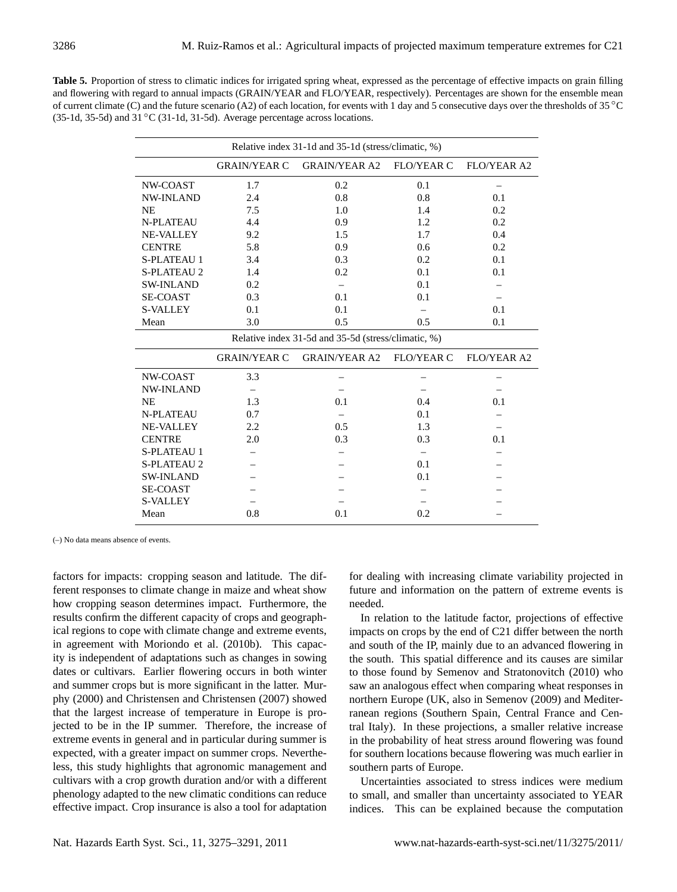| <b>Table 5.</b> Proportion of stress to climatic indices for irrigated spring wheat, expressed as the percentage of effective impacts on grain filling    |
|-----------------------------------------------------------------------------------------------------------------------------------------------------------|
| and flowering with regard to annual impacts (GRAIN/YEAR and FLO/YEAR, respectively). Percentages are shown for the ensemble mean                          |
| of current climate (C) and the future scenario (A2) of each location, for events with 1 day and 5 consecutive days over the thresholds of 35 $^{\circ}$ C |
| $(35-1d, 35-5d)$ and $31^{\circ}$ C $(31-1d, 31-5d)$ . Average percentage across locations.                                                               |

| Relative index 31-1d and 35-1d (stress/climatic, %) |                     |                      |                   |                                                     |  |  |  |  |  |  |
|-----------------------------------------------------|---------------------|----------------------|-------------------|-----------------------------------------------------|--|--|--|--|--|--|
|                                                     | <b>GRAIN/YEAR C</b> | <b>GRAIN/YEAR A2</b> | <b>FLO/YEAR C</b> | FLO/YEAR A2                                         |  |  |  |  |  |  |
| NW-COAST                                            | 1.7                 | 0.2                  | 0.1               |                                                     |  |  |  |  |  |  |
| <b>NW-INLAND</b>                                    | 2.4                 | 0.8                  | 0.8               | 0.1                                                 |  |  |  |  |  |  |
| <b>NE</b>                                           | 7.5                 | 1.0                  | 1.4               | 0.2                                                 |  |  |  |  |  |  |
| <b>N-PLATEAU</b>                                    | 4.4                 | 0.9                  | 1.2               | 0.2                                                 |  |  |  |  |  |  |
| <b>NE-VALLEY</b>                                    | 9.2                 | 1.5                  | 1.7               | 0.4                                                 |  |  |  |  |  |  |
| <b>CENTRE</b>                                       | 5.8                 | 0.9                  | 0.6               | 0.2                                                 |  |  |  |  |  |  |
| <b>S-PLATEAU 1</b>                                  | 3.4                 | 0.3                  | 0.2               | 0.1                                                 |  |  |  |  |  |  |
| <b>S-PLATEAU 2</b>                                  | 1.4                 | 0.2                  | 0.1               | 0.1                                                 |  |  |  |  |  |  |
| <b>SW-INLAND</b>                                    | 0.2                 |                      | 0.1               |                                                     |  |  |  |  |  |  |
| <b>SE-COAST</b>                                     | 0.3                 | 0.1                  | 0.1               |                                                     |  |  |  |  |  |  |
| <b>S-VALLEY</b>                                     | 0.1                 | 0.1                  |                   | 0.1                                                 |  |  |  |  |  |  |
| Mean                                                | 3.0                 | 0.5                  | 0.5               | 0.1                                                 |  |  |  |  |  |  |
|                                                     |                     |                      |                   | Relative index 31-5d and 35-5d (stress/climatic, %) |  |  |  |  |  |  |
|                                                     |                     |                      |                   |                                                     |  |  |  |  |  |  |
|                                                     | <b>GRAIN/YEAR C</b> | <b>GRAIN/YEAR A2</b> | <b>FLO/YEAR C</b> | FLO/YEAR A2                                         |  |  |  |  |  |  |
| NW-COAST                                            | 3.3                 |                      |                   |                                                     |  |  |  |  |  |  |
| <b>NW-INLAND</b>                                    |                     |                      |                   |                                                     |  |  |  |  |  |  |
| <b>NE</b>                                           | 1.3                 | 0.1                  | 0.4               | 0.1                                                 |  |  |  |  |  |  |
| <b>N-PLATEAU</b>                                    | 0.7                 |                      | 0.1               |                                                     |  |  |  |  |  |  |
| <b>NE-VALLEY</b>                                    | 2.2                 | 0.5                  | 1.3               |                                                     |  |  |  |  |  |  |
| <b>CENTRE</b>                                       | 2.0                 | 0.3                  | 0.3               | 0.1                                                 |  |  |  |  |  |  |
| <b>S-PLATEAU 1</b>                                  |                     |                      |                   |                                                     |  |  |  |  |  |  |
| <b>S-PLATEAU 2</b>                                  |                     |                      | 0.1               |                                                     |  |  |  |  |  |  |
| <b>SW-INLAND</b>                                    |                     |                      | 0.1               |                                                     |  |  |  |  |  |  |
| <b>SE-COAST</b>                                     |                     |                      |                   |                                                     |  |  |  |  |  |  |
| <b>S-VALLEY</b>                                     |                     |                      | 0.2               |                                                     |  |  |  |  |  |  |

(–) No data means absence of events.

factors for impacts: cropping season and latitude. The different responses to climate change in maize and wheat show how cropping season determines impact. Furthermore, the results confirm the different capacity of crops and geographical regions to cope with climate change and extreme events, in agreement with Moriondo et al. (2010b). This capacity is independent of adaptations such as changes in sowing dates or cultivars. Earlier flowering occurs in both winter and summer crops but is more significant in the latter. Murphy (2000) and Christensen and Christensen (2007) showed that the largest increase of temperature in Europe is projected to be in the IP summer. Therefore, the increase of extreme events in general and in particular during summer is expected, with a greater impact on summer crops. Nevertheless, this study highlights that agronomic management and cultivars with a crop growth duration and/or with a different phenology adapted to the new climatic conditions can reduce effective impact. Crop insurance is also a tool for adaptation

for dealing with increasing climate variability projected in future and information on the pattern of extreme events is needed.

In relation to the latitude factor, projections of effective impacts on crops by the end of C21 differ between the north and south of the IP, mainly due to an advanced flowering in the south. This spatial difference and its causes are similar to those found by Semenov and Stratonovitch (2010) who saw an analogous effect when comparing wheat responses in northern Europe (UK, also in Semenov (2009) and Mediterranean regions (Southern Spain, Central France and Central Italy). In these projections, a smaller relative increase in the probability of heat stress around flowering was found for southern locations because flowering was much earlier in southern parts of Europe.

Uncertainties associated to stress indices were medium to small, and smaller than uncertainty associated to YEAR indices. This can be explained because the computation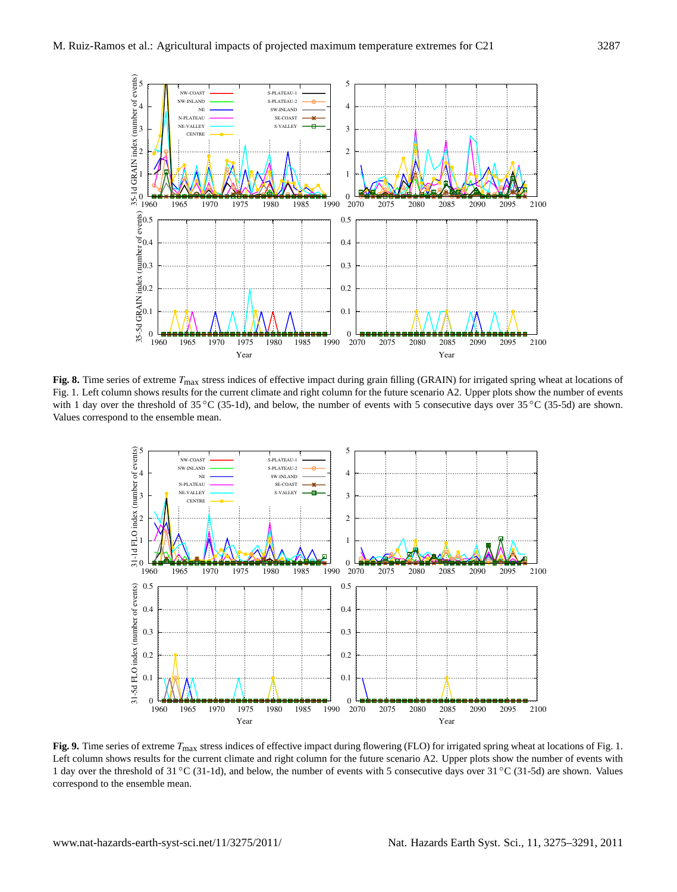

**Fig. 8.** Time series of extreme  $T_{\text{max}}$  stress indices of effective impact during grain filling (GRAIN) for irrigated spring wheat at locations of Fig. 1. Left column shows results for the current climate and right column for the future scenario A2. Upper plots show the number of events with 1 day over the threshold of 35 °C (35-1d), and below, the number of events with 5 consecutive days over 35 °C (35-5d) are shown. Values correspond to the ensemble mean.



Fig. 9. Time series of extreme T<sub>max</sub> stress indices of effective impact during flowering (FLO) for irrigated spring wheat at locations of Fig. 1. Left column shows results for the current climate and right column for the future scenario A2. Upper plots show the number of events with 1 day over the threshold of 31 ◦C (31-1d), and below, the number of events with 5 consecutive days over 31 ◦C (31-5d) are shown. Values correspond to the ensemble mean.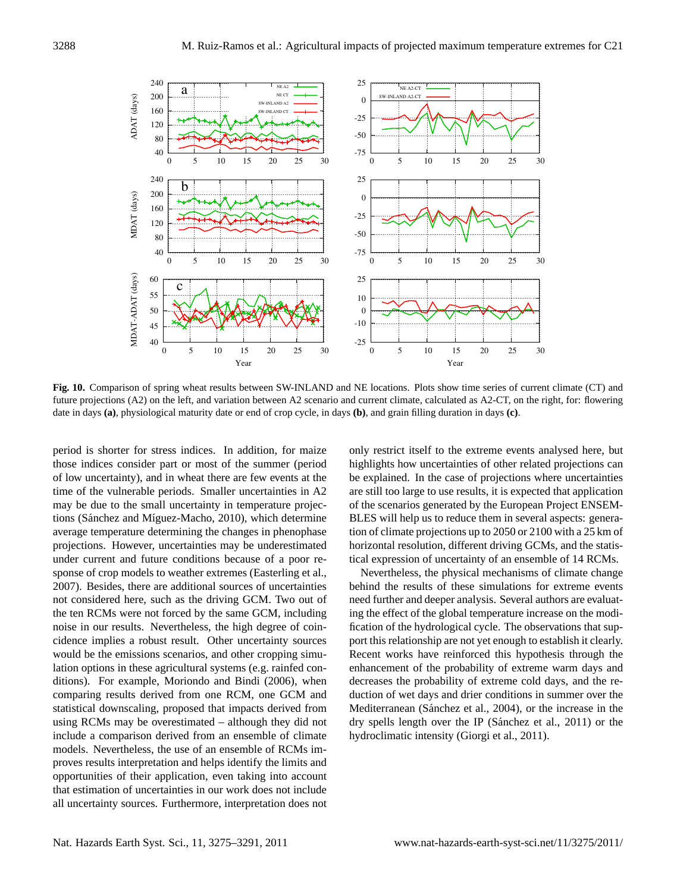

**Fig. 10.** Comparison of spring wheat results between SW-INLAND and NE locations. Plots show time series of current climate (CT) and future projections (A2) on the left, and variation between A2 scenario and current climate, calculated as A2-CT, on the right, for: flowering date in days **(a)**, physiological maturity date or end of crop cycle, in days **(b)**, and grain filling duration in days **(c)**.

period is shorter for stress indices. In addition, for maize those indices consider part or most of the summer (period of low uncertainty), and in wheat there are few events at the time of the vulnerable periods. Smaller uncertainties in A2 may be due to the small uncertainty in temperature projections (Sánchez and Míguez-Macho, 2010), which determine average temperature determining the changes in phenophase projections. However, uncertainties may be underestimated under current and future conditions because of a poor response of crop models to weather extremes (Easterling et al., 2007). Besides, there are additional sources of uncertainties not considered here, such as the driving GCM. Two out of the ten RCMs were not forced by the same GCM, including noise in our results. Nevertheless, the high degree of coincidence implies a robust result. Other uncertainty sources would be the emissions scenarios, and other cropping simulation options in these agricultural systems (e.g. rainfed conditions). For example, Moriondo and Bindi (2006), when comparing results derived from one RCM, one GCM and statistical downscaling, proposed that impacts derived from using RCMs may be overestimated – although they did not include a comparison derived from an ensemble of climate models. Nevertheless, the use of an ensemble of RCMs improves results interpretation and helps identify the limits and opportunities of their application, even taking into account that estimation of uncertainties in our work does not include all uncertainty sources. Furthermore, interpretation does not only restrict itself to the extreme events analysed here, but highlights how uncertainties of other related projections can be explained. In the case of projections where uncertainties are still too large to use results, it is expected that application of the scenarios generated by the European Project ENSEM-BLES will help us to reduce them in several aspects: generation of climate projections up to 2050 or 2100 with a 25 km of horizontal resolution, different driving GCMs, and the statistical expression of uncertainty of an ensemble of 14 RCMs.

Nevertheless, the physical mechanisms of climate change behind the results of these simulations for extreme events need further and deeper analysis. Several authors are evaluating the effect of the global temperature increase on the modification of the hydrological cycle. The observations that support this relationship are not yet enough to establish it clearly. Recent works have reinforced this hypothesis through the enhancement of the probability of extreme warm days and decreases the probability of extreme cold days, and the reduction of wet days and drier conditions in summer over the Mediterranean (Sánchez et al., 2004), or the increase in the dry spells length over the IP (Sánchez et al.,  $2011$ ) or the hydroclimatic intensity (Giorgi et al., 2011).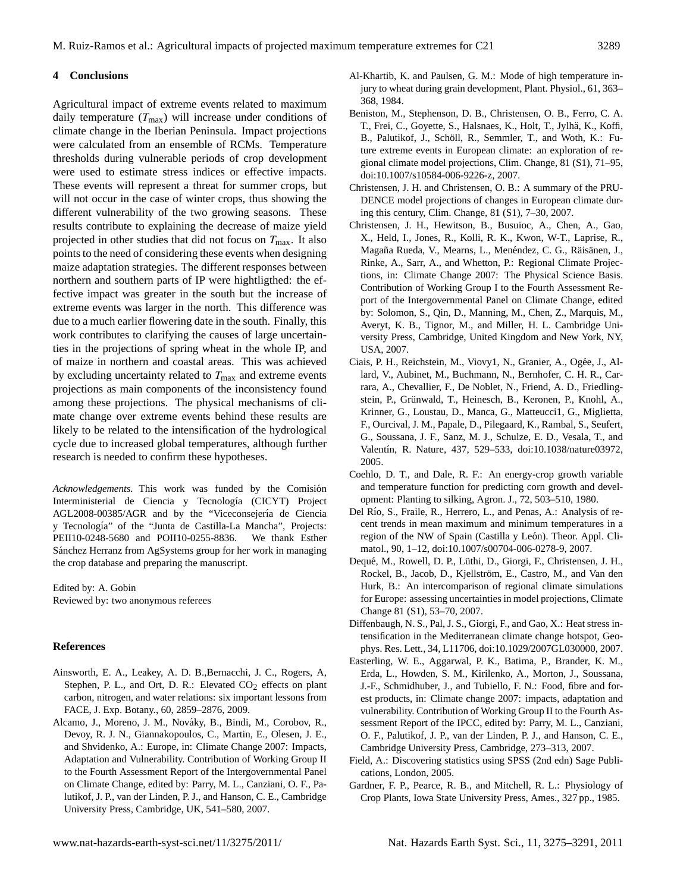## **4 Conclusions**

Agricultural impact of extreme events related to maximum daily temperature  $(T_{\text{max}})$  will increase under conditions of climate change in the Iberian Peninsula. Impact projections were calculated from an ensemble of RCMs. Temperature thresholds during vulnerable periods of crop development were used to estimate stress indices or effective impacts. These events will represent a threat for summer crops, but will not occur in the case of winter crops, thus showing the different vulnerability of the two growing seasons. These results contribute to explaining the decrease of maize yield projected in other studies that did not focus on  $T_{\text{max}}$ . It also points to the need of considering these events when designing maize adaptation strategies. The different responses between northern and southern parts of IP were hightligthed: the effective impact was greater in the south but the increase of extreme events was larger in the north. This difference was due to a much earlier flowering date in the south. Finally, this work contributes to clarifying the causes of large uncertainties in the projections of spring wheat in the whole IP, and of maize in northern and coastal areas. This was achieved by excluding uncertainty related to  $T_{\text{max}}$  and extreme events projections as main components of the inconsistency found among these projections. The physical mechanisms of climate change over extreme events behind these results are likely to be related to the intensification of the hydrological cycle due to increased global temperatures, although further research is needed to confirm these hypotheses.

*Acknowledgements.* This work was funded by the Comision´ Interministerial de Ciencia y Tecnología (CICYT) Project AGL2008-00385/AGR and by the "Viceconsejería de Ciencia y Tecnología" of the "Junta de Castilla-La Mancha", Projects: PEII10-0248-5680 and POII10-0255-8836. We thank Esther Sánchez Herranz from AgSystems group for her work in managing the crop database and preparing the manuscript.

Edited by: A. Gobin Reviewed by: two anonymous referees

#### **References**

- Ainsworth, E. A., Leakey, A. D. B.,Bernacchi, J. C., Rogers, A, Stephen, P. L., and Ort, D. R.: Elevated  $CO<sub>2</sub>$  effects on plant carbon, nitrogen, and water relations: six important lessons from FACE, J. Exp. Botany., 60, 2859–2876, 2009.
- Alcamo, J., Moreno, J. M., Nováky, B., Bindi, M., Corobov, R., Devoy, R. J. N., Giannakopoulos, C., Martin, E., Olesen, J. E., and Shvidenko, A.: Europe, in: Climate Change 2007: Impacts, Adaptation and Vulnerability. Contribution of Working Group II to the Fourth Assessment Report of the Intergovernmental Panel on Climate Change, edited by: Parry, M. L., Canziani, O. F., Palutikof, J. P., van der Linden, P. J., and Hanson, C. E., Cambridge University Press, Cambridge, UK, 541–580, 2007.
- Al-Khartib, K. and Paulsen, G. M.: Mode of high temperature injury to wheat during grain development, Plant. Physiol., 61, 363– 368, 1984.
- Beniston, M., Stephenson, D. B., Christensen, O. B., Ferro, C. A. T., Frei, C., Goyette, S., Halsnaes, K., Holt, T., Jylhä, K., Koffi, B., Palutikof, J., Schöll, R., Semmler, T., and Woth, K.: Future extreme events in European climate: an exploration of regional climate model projections, Clim. Change, 81 (S1), 71–95, [doi:10.1007/s10584-006-9226-z,](http://dx.doi.org/10.1007/s10584-006-9226-z) 2007.
- Christensen, J. H. and Christensen, O. B.: A summary of the PRU-DENCE model projections of changes in European climate during this century, Clim. Change, 81 (S1), 7–30, 2007.
- Christensen, J. H., Hewitson, B., Busuioc, A., Chen, A., Gao, X., Held, I., Jones, R., Kolli, R. K., Kwon, W-T., Laprise, R., Magaña Rueda, V., Mearns, L., Menéndez, C. G., Räisänen, J., Rinke, A., Sarr, A., and Whetton, P.: Regional Climate Projections, in: Climate Change 2007: The Physical Science Basis. Contribution of Working Group I to the Fourth Assessment Report of the Intergovernmental Panel on Climate Change, edited by: Solomon, S., Qin, D., Manning, M., Chen, Z., Marquis, M., Averyt, K. B., Tignor, M., and Miller, H. L. Cambridge University Press, Cambridge, United Kingdom and New York, NY, USA, 2007.
- Ciais, P. H., Reichstein, M., Viovy1, N., Granier, A., Ogée, J., Allard, V., Aubinet, M., Buchmann, N., Bernhofer, C. H. R., Carrara, A., Chevallier, F., De Noblet, N., Friend, A. D., Friedlingstein, P., Grünwald, T., Heinesch, B., Keronen, P., Knohl, A., Krinner, G., Loustau, D., Manca, G., Matteucci1, G., Miglietta, F., Ourcival, J. M., Papale, D., Pilegaard, K., Rambal, S., Seufert, G., Soussana, J. F., Sanz, M. J., Schulze, E. D., Vesala, T., and Valentín, R. Nature, 437, 529-533, [doi:10.1038/nature03972,](http://dx.doi.org/10.1038/nature03972) 2005.
- Coehlo, D. T., and Dale, R. F.: An energy-crop growth variable and temperature function for predicting corn growth and development: Planting to silking, Agron. J., 72, 503–510, 1980.
- Del Río, S., Fraile, R., Herrero, L., and Penas, A.: Analysis of recent trends in mean maximum and minimum temperatures in a region of the NW of Spain (Castilla y León). Theor. Appl. Climatol., 90, 1–12, [doi:10.1007/s00704-006-0278-9,](http://dx.doi.org/10.1007/s00704-006-0278-9) 2007.
- Dequé, M., Rowell, D. P., Lüthi, D., Giorgi, F., Christensen, J. H., Rockel, B., Jacob, D., Kjellström, E., Castro, M., and Van den Hurk, B.: An intercomparison of regional climate simulations for Europe: assessing uncertainties in model projections, Climate Change 81 (S1), 53–70, 2007.
- Diffenbaugh, N. S., Pal, J. S., Giorgi, F., and Gao, X.: Heat stress intensification in the Mediterranean climate change hotspot, Geophys. Res. Lett., 34, L11706, [doi:10.1029/2007GL030000,](http://dx.doi.org/10.1029/2007GL030000) 2007.
- Easterling, W. E., Aggarwal, P. K., Batima, P., Brander, K. M., Erda, L., Howden, S. M., Kirilenko, A., Morton, J., Soussana, J.-F., Schmidhuber, J., and Tubiello, F. N.: Food, fibre and forest products, in: Climate change 2007: impacts, adaptation and vulnerability. Contribution of Working Group II to the Fourth Assessment Report of the IPCC, edited by: Parry, M. L., Canziani, O. F., Palutikof, J. P., van der Linden, P. J., and Hanson, C. E., Cambridge University Press, Cambridge, 273–313, 2007.
- Field, A.: Discovering statistics using SPSS (2nd edn) Sage Publications, London, 2005.
- Gardner, F. P., Pearce, R. B., and Mitchell, R. L.: Physiology of Crop Plants, Iowa State University Press, Ames., 327 pp., 1985.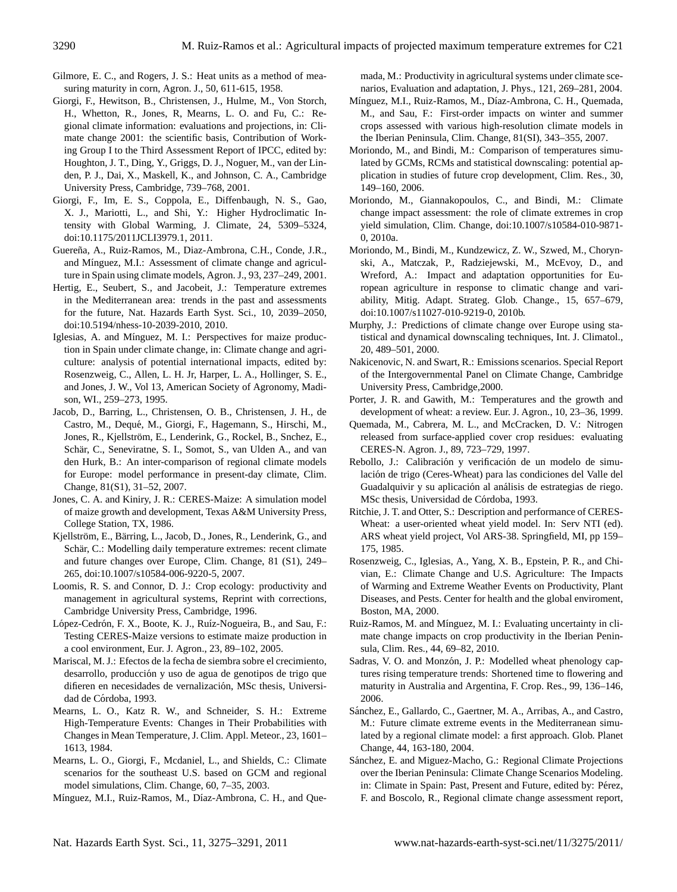Gilmore, E. C., and Rogers, J. S.: Heat units as a method of measuring maturity in corn, Agron. J., 50, 611-615, 1958.

- Giorgi, F., Hewitson, B., Christensen, J., Hulme, M., Von Storch, H., Whetton, R., Jones, R, Mearns, L. O. and Fu, C.: Regional climate information: evaluations and projections, in: Climate change 2001: the scientific basis, Contribution of Working Group I to the Third Assessment Report of IPCC, edited by: Houghton, J. T., Ding, Y., Griggs, D. J., Noguer, M., van der Linden, P. J., Dai, X., Maskell, K., and Johnson, C. A., Cambridge University Press, Cambridge, 739–768, 2001.
- Giorgi, F., Im, E. S., Coppola, E., Diffenbaugh, N. S., Gao, X. J., Mariotti, L., and Shi, Y.: Higher Hydroclimatic Intensity with Global Warming, J. Climate, 24, 5309–5324, [doi:10.1175/2011JCLI3979.1,](http://dx.doi.org/10.1175/2011JCLI3979.1) 2011.
- Guereña, A., Ruiz-Ramos, M., Diaz-Ambrona, C.H., Conde, J.R., and Mínguez, M.I.: Assessment of climate change and agriculture in Spain using climate models, Agron. J., 93, 237–249, 2001.
- Hertig, E., Seubert, S., and Jacobeit, J.: Temperature extremes in the Mediterranean area: trends in the past and assessments for the future, Nat. Hazards Earth Syst. Sci., 10, 2039–2050, [doi:10.5194/nhess-10-2039-2010,](http://dx.doi.org/10.5194/nhess-10-2039-2010) 2010.
- Iglesias, A. and Mínguez, M. I.: Perspectives for maize production in Spain under climate change, in: Climate change and agriculture: analysis of potential international impacts, edited by: Rosenzweig, C., Allen, L. H. Jr, Harper, L. A., Hollinger, S. E., and Jones, J. W., Vol 13, American Society of Agronomy, Madison, WI., 259–273, 1995.
- Jacob, D., Barring, L., Christensen, O. B., Christensen, J. H., de Castro, M., Dequé, M., Giorgi, F., Hagemann, S., Hirschi, M., Jones, R., Kjellström, E., Lenderink, G., Rockel, B., Snchez, E., Schär, C., Seneviratne, S. I., Somot, S., van Ulden A., and van den Hurk, B.: An inter-comparison of regional climate models for Europe: model performance in present-day climate, Clim. Change, 81(S1), 31–52, 2007.
- Jones, C. A. and Kiniry, J. R.: CERES-Maize: A simulation model of maize growth and development, Texas A&M University Press, College Station, TX, 1986.
- Kjellström, E., Bärring, L., Jacob, D., Jones, R., Lenderink, G., and Schär, C.: Modelling daily temperature extremes: recent climate and future changes over Europe, Clim. Change, 81 (S1), 249– 265, [doi:10.1007/s10584-006-9220-5,](http://dx.doi.org/10.1007/s10584-006-9220-5) 2007.
- Loomis, R. S. and Connor, D. J.: Crop ecology: productivity and management in agricultural systems, Reprint with corrections, Cambridge University Press, Cambridge, 1996.
- López-Cedrón, F. X., Boote, K. J., Ruíz-Nogueira, B., and Sau, F.: Testing CERES-Maize versions to estimate maize production in a cool environment, Eur. J. Agron., 23, 89–102, 2005.
- Mariscal, M. J.: Efectos de la fecha de siembra sobre el crecimiento, desarrollo, produccion y uso de agua de genotipos de trigo que ´ difieren en necesidades de vernalización, MSc thesis, Universidad de Córdoba, 1993.
- Mearns, L. O., Katz R. W., and Schneider, S. H.: Extreme High-Temperature Events: Changes in Their Probabilities with Changes in Mean Temperature, J. Clim. Appl. Meteor., 23, 1601– 1613, 1984.
- Mearns, L. O., Giorgi, F., Mcdaniel, L., and Shields, C.: Climate scenarios for the southeast U.S. based on GCM and regional model simulations, Clim. Change, 60, 7–35, 2003.
- Mínguez, M.I., Ruiz-Ramos, M., Díaz-Ambrona, C. H., and Que-

mada, M.: Productivity in agricultural systems under climate scenarios, Evaluation and adaptation, J. Phys., 121, 269–281, 2004.

- Mínguez, M.I., Ruiz-Ramos, M., Díaz-Ambrona, C. H., Quemada, M., and Sau, F.: First-order impacts on winter and summer crops assessed with various high-resolution climate models in the Iberian Peninsula, Clim. Change, 81(SI), 343–355, 2007.
- Moriondo, M., and Bindi, M.: Comparison of temperatures simulated by GCMs, RCMs and statistical downscaling: potential application in studies of future crop development, Clim. Res., 30, 149–160, 2006.
- Moriondo, M., Giannakopoulos, C., and Bindi, M.: Climate change impact assessment: the role of climate extremes in crop yield simulation, Clim. Change, [doi:10.1007/s10584-010-9871-](http://dx.doi.org/10.1007/s10584-010-9871-0) [0,](http://dx.doi.org/10.1007/s10584-010-9871-0) 2010a.
- Moriondo, M., Bindi, M., Kundzewicz, Z. W., Szwed, M., Chorynski, A., Matczak, P., Radziejewski, M., McEvoy, D., and Wreford, A.: Impact and adaptation opportunities for European agriculture in response to climatic change and variability, Mitig. Adapt. Strateg. Glob. Change., 15, 657–679, [doi:10.1007/s11027-010-9219-0,](http://dx.doi.org/10.1007/s11027-010-9219-0) 2010b.
- Murphy, J.: Predictions of climate change over Europe using statistical and dynamical downscaling techniques, Int. J. Climatol., 20, 489–501, 2000.
- Nakicenovic, N. and Swart, R.: Emissions scenarios. Special Report of the Intergovernmental Panel on Climate Change, Cambridge University Press, Cambridge,2000.
- Porter, J. R. and Gawith, M.: Temperatures and the growth and development of wheat: a review. Eur. J. Agron., 10, 23–36, 1999.
- Quemada, M., Cabrera, M. L., and McCracken, D. V.: Nitrogen released from surface-applied cover crop residues: evaluating CERES-N. Agron. J., 89, 723–729, 1997.
- Rebollo, J.: Calibración y verificación de un modelo de simulación de trigo (Ceres-Wheat) para las condiciones del Valle del Guadalquivir y su aplicación al análisis de estrategias de riego. MSc thesis, Universidad de Córdoba, 1993.
- Ritchie, J. T. and Otter, S.: Description and performance of CERES-Wheat: a user-oriented wheat yield model. In: Serv NTI (ed). ARS wheat yield project, Vol ARS-38. Springfield, MI, pp 159– 175, 1985.
- Rosenzweig, C., Iglesias, A., Yang, X. B., Epstein, P. R., and Chivian, E.: Climate Change and U.S. Agriculture: The Impacts of Warming and Extreme Weather Events on Productivity, Plant Diseases, and Pests. Center for health and the global enviroment, Boston, MA, 2000.
- Ruiz-Ramos, M. and Mínguez, M. I.: Evaluating uncertainty in climate change impacts on crop productivity in the Iberian Peninsula, Clim. Res., 44, 69–82, 2010.
- Sadras, V. O. and Monzón, J. P.: Modelled wheat phenology captures rising temperature trends: Shortened time to flowering and maturity in Australia and Argentina, F. Crop. Res., 99, 136–146, 2006.
- Sánchez, E., Gallardo, C., Gaertner, M. A., Arribas, A., and Castro, M.: Future climate extreme events in the Mediterranean simulated by a regional climate model: a first approach. Glob. Planet Change, 44, 163-180, 2004.
- Sánchez, E. and Miguez-Macho, G.: Regional Climate Projections over the Iberian Peninsula: Climate Change Scenarios Modeling. in: Climate in Spain: Past, Present and Future, edited by: Pérez, F. and Boscolo, R., Regional climate change assessment report,